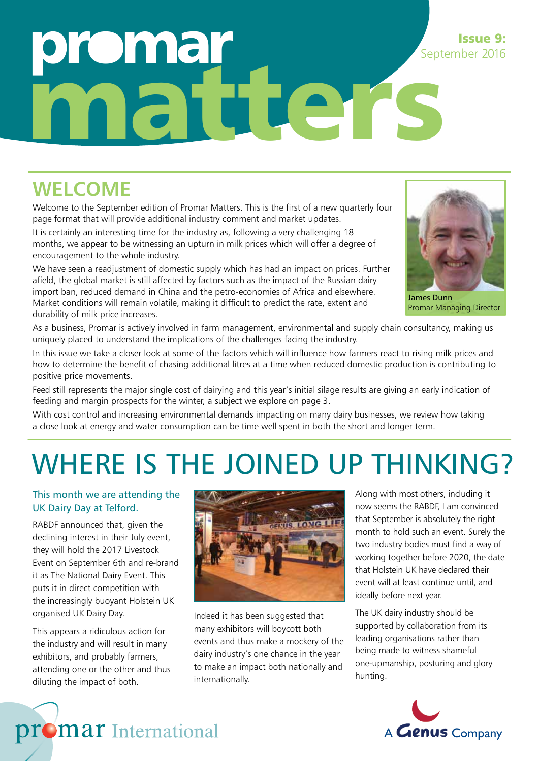## **oma** matters September 2016

### **WELCOME**

Welcome to the September edition of Promar Matters. This is the first of a new quarterly four page format that will provide additional industry comment and market updates.

It is certainly an interesting time for the industry as, following a very challenging 18 months, we appear to be witnessing an upturn in milk prices which will offer a degree of encouragement to the whole industry.

We have seen a readjustment of domestic supply which has had an impact on prices. Further afield, the global market is still affected by factors such as the impact of the Russian dairy import ban, reduced demand in China and the petro-economies of Africa and elsewhere. Market conditions will remain volatile, making it difficult to predict the rate, extent and durability of milk price increases.



Issue 9:

James Dunn Promar Managing Director

As a business, Promar is actively involved in farm management, environmental and supply chain consultancy, making us uniquely placed to understand the implications of the challenges facing the industry.

In this issue we take a closer look at some of the factors which will influence how farmers react to rising milk prices and how to determine the benefit of chasing additional litres at a time when reduced domestic production is contributing to positive price movements.

Feed still represents the major single cost of dairying and this year's initial silage results are giving an early indication of feeding and margin prospects for the winter, a subject we explore on page 3.

With cost control and increasing environmental demands impacting on many dairy businesses, we review how taking a close look at energy and water consumption can be time well spent in both the short and longer term.

## WHERE IS THE JOINED UP THINKING?

#### This month we are attending the UK Dairy Day at Telford.

RABDF announced that, given the declining interest in their July event, they will hold the 2017 Livestock Event on September 6th and re-brand it as The National Dairy Event. This puts it in direct competition with the increasingly buoyant Holstein UK organised UK Dairy Day.

This appears a ridiculous action for the industry and will result in many exhibitors, and probably farmers, attending one or the other and thus diluting the impact of both.



Indeed it has been suggested that many exhibitors will boycott both events and thus make a mockery of the dairy industry's one chance in the year to make an impact both nationally and internationally.

Along with most others, including it now seems the RABDF, I am convinced that September is absolutely the right month to hold such an event. Surely the two industry bodies must find a way of working together before 2020, the date that Holstein UK have declared their event will at least continue until, and ideally before next year.

The UK dairy industry should be supported by collaboration from its leading organisations rather than being made to witness shameful one-upmanship, posturing and glory hunting.



### promar International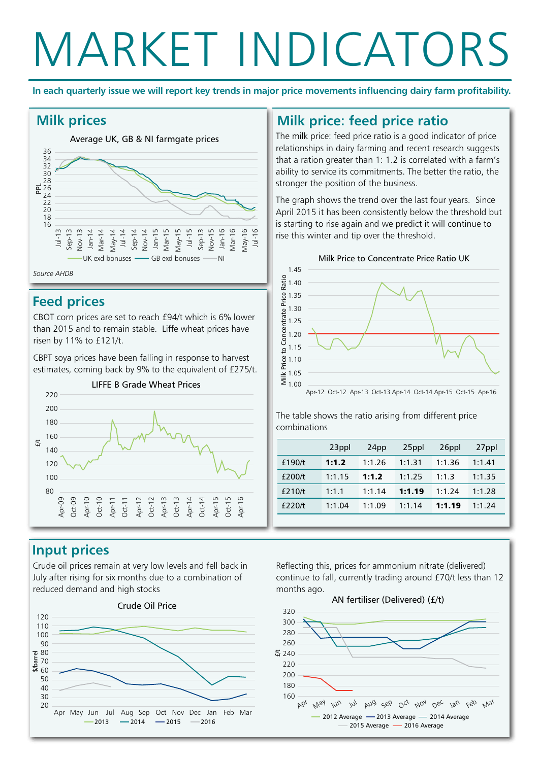## MARKET INDICATORS

**In each quarterly issue we will report key trends in major price movements influencing dairy farm profitability.**



#### **Feed prices**

CBOT corn prices are set to reach £94/t which is 6% lower than 2015 and to remain stable. Liffe wheat prices have risen by 11% to £121/t.

CBPT soya prices have been falling in response to harvest estimates, coming back by 9% to the equivalent of £275/t.



### **Milk prices Milk price: feed price ratio**

The milk price: feed price ratio is a good indicator of price relationships in dairy farming and recent research suggests that a ration greater than 1: 1.2 is correlated with a farm's ability to service its commitments. The better the ratio, the stronger the position of the business.

The graph shows the trend over the last four years. Since April 2015 it has been consistently below the threshold but is starting to rise again and we predict it will continue to rise this winter and tip over the threshold.



The table shows the ratio arising from different price combinations

|        | 23ppl  | 24pp   | 25ppl  | 26ppl  | 27ppl  |
|--------|--------|--------|--------|--------|--------|
| £190/t | 1:1.2  | 1:1.26 | 1:1.31 | 1:1.36 | 1:1.41 |
| £200/t | 1:1.15 | 1:1.2  | 1:1.25 | 1:1.3  | 1:1.35 |
| £210/t | 1:1.1  | 1:1.14 | 1:1.19 | 1:1.24 | 1:1.28 |
| £220/t | 1:1.04 | 1:1.09 | 1:1.14 | 1:1.19 | 1:1.24 |

#### **Input prices**

Crude oil prices remain at very low levels and fell back in July after rising for six months due to a combination of reduced demand and high stocks



Reflecting this, prices for ammonium nitrate (delivered) continue to fall, currently trading around £70/t less than 12 months ago.

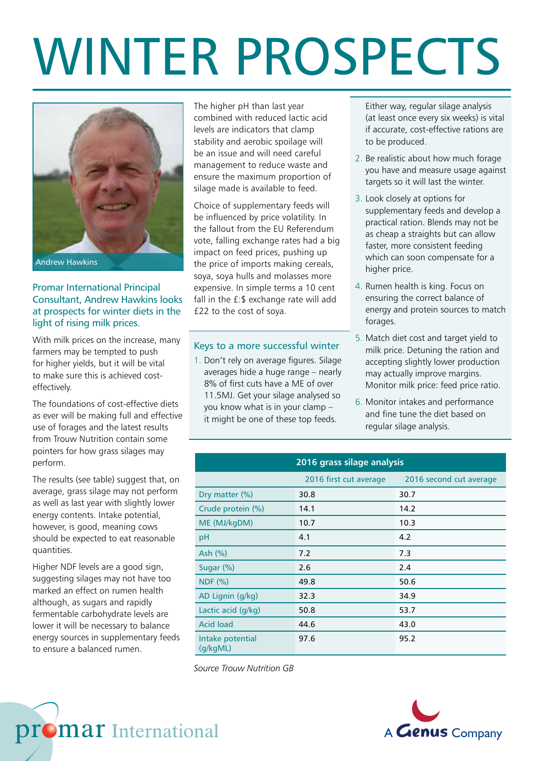# WINTER PROSPECTS



#### Promar International Principal Consultant, Andrew Hawkins looks at prospects for winter diets in the light of rising milk prices.

With milk prices on the increase, many farmers may be tempted to push for higher yields, but it will be vital to make sure this is achieved costeffectively.

The foundations of cost-effective diets as ever will be making full and effective use of forages and the latest results from Trouw Nutrition contain some pointers for how grass silages may perform.

The results (see table) suggest that, on average, grass silage may not perform as well as last year with slightly lower energy contents. Intake potential, however, is good, meaning cows should be expected to eat reasonable quantities.

Higher NDF levels are a good sign, suggesting silages may not have too marked an effect on rumen health although, as sugars and rapidly fermentable carbohydrate levels are lower it will be necessary to balance energy sources in supplementary feeds to ensure a balanced rumen.

The higher pH than last year combined with reduced lactic acid levels are indicators that clamp stability and aerobic spoilage will be an issue and will need careful management to reduce waste and ensure the maximum proportion of silage made is available to feed.

Choice of supplementary feeds will be influenced by price volatility. In the fallout from the EU Referendum vote, falling exchange rates had a big impact on feed prices, pushing up the price of imports making cereals, soya, soya hulls and molasses more expensive. In simple terms a 10 cent fall in the £:\$ exchange rate will add £22 to the cost of soya.

#### Keys to a more successful winter

1. Don't rely on average figures. Silage averages hide a huge range – nearly 8% of first cuts have a ME of over 11.5MJ. Get your silage analysed so you know what is in your clamp – it might be one of these top feeds.

Either way, regular silage analysis (at least once every six weeks) is vital if accurate, cost-effective rations are to be produced.

- 2. Be realistic about how much forage you have and measure usage against targets so it will last the winter.
- 3. Look closely at options for supplementary feeds and develop a practical ration. Blends may not be as cheap a straights but can allow faster, more consistent feeding which can soon compensate for a higher price.
- 4. Rumen health is king. Focus on ensuring the correct balance of energy and protein sources to match forages.
- 5. Match diet cost and target yield to milk price. Detuning the ration and accepting slightly lower production may actually improve margins. Monitor milk price: feed price ratio.
- 6. Monitor intakes and performance and fine tune the diet based on regular silage analysis.

#### **2016 grass silage analysis**

|                              | 2016 first cut average | 2016 second cut average |
|------------------------------|------------------------|-------------------------|
| Dry matter (%)               | 30.8                   | 30.7                    |
| Crude protein (%)            | 14.1                   | 14.2                    |
| ME (MJ/kgDM)                 | 10.7                   | 10.3                    |
| pH                           | 4.1                    | 4.2                     |
| Ash $(\%)$                   | 7.2                    | 7.3                     |
| Sugar $(\%)$                 | 2.6                    | 2.4                     |
| <b>NDF (%)</b>               | 49.8                   | 50.6                    |
| AD Lignin (g/kg)             | 32.3                   | 34.9                    |
| Lactic acid (g/kg)           | 50.8                   | 53.7                    |
| <b>Acid load</b>             | 44.6                   | 43.0                    |
| Intake potential<br>(g/kgML) | 97.6                   | 95.2                    |

*Source Trouw Nutrition GB*